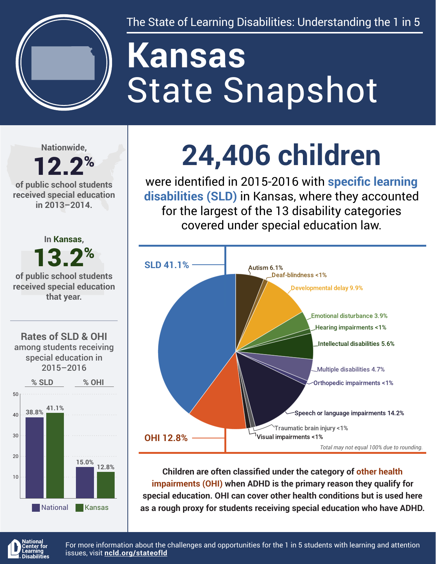

The State of Learning Disabilities: Understanding the 1 in 5

# State Snapshot **Kansas**

**Nationwide,**

#### 12.2% **of public school students received special education in 2013–2014.**



## **24,406 children**

were identified in 2015-2016 with **specific learning disabilities (SLD)** in Kansas, where they accounted for the largest of the 13 disability categories covered under special education law.



**Children are often classified under the category of other health impairments (OHI) when ADHD is the primary reason they qualify for special education. OHI can cover other health conditions but is used here as a rough proxy for students receiving special education who have ADHD.**



For more information about the challenges and opportunities for the 1 in 5 students with learning and attention issues, visit **[ncld.org/stateofld](http://ncld.org/stateofld)**